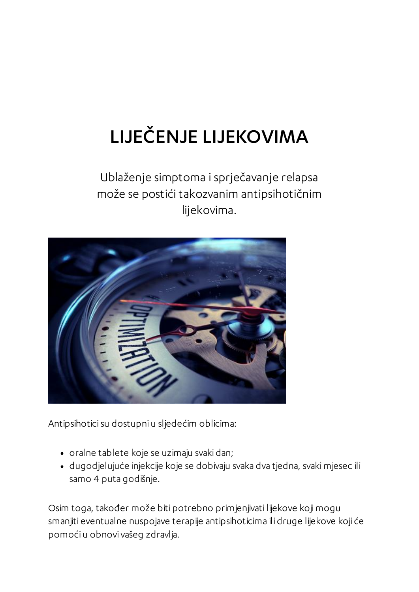## LIJEČENJE LIJEKOVIMA

Ublaženje simptoma i sprječavanje relapsa može se postići takozvanim antipsihotičnim lijekovima.



Antipsihoticisu dostupni u sljedećim oblicima:

- oralne tablete koje se uzimaju svaki dan;
- dugodjelujuće injekcije koje se dobivaju svaka dva tjedna, svakimjesec ili samo 4 puta godišnje.

Osim toga, također može biti potrebno primjenjivati lijekove kojimogu smanjiti eventualne nuspojave terapije antipsihoticima ili druge lijekove koji će pomoći u obnovi vašeg zdravlja.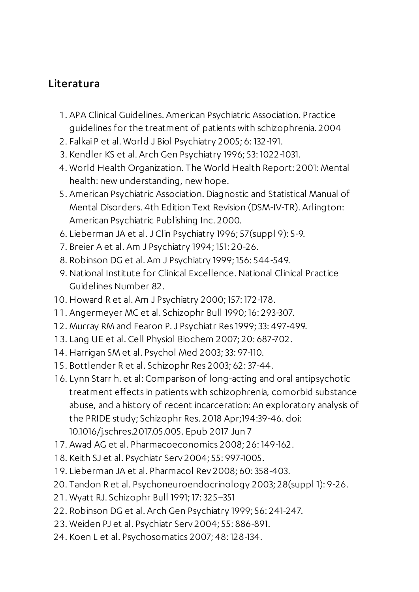## Literatura

- . APA Clinical Guidelines. American Psychiatric Association. Practice guidelines for the treatment of patients with schizophrenia. 2004
- . Falkai P et al. World J Biol Psychiatry 2005; 6: 132-191.
- . Kendler KS et al. Arch Gen Psychiatry 1996; 53: 1022-1031.
- . World Health Organization. The World Health Report: 2001: Mental health: new understanding, new hope.
- . American Psychiatric Association. Diagnostic and Statistical Manual of Mental Disorders. 4th Edition Text Revision (DSM-IV-TR). Arlington: American Psychiatric Publishing Inc. 2000.
- . Lieberman JA et al.J Clin Psychiatry 1996; 57(suppl 9): 5-9.
- . Breier A et al. Am J Psychiatry 1994; 151: 20-26.
- . Robinson DG et al. Am J Psychiatry 1999; 156: 544-549.
- . National Institute for Clinical Excellence.National Clinical Practice Guidelines Number 82.
- . Howard R et al. Am J Psychiatry 2000; 157: 172-178.
- . Angermeyer MC et al. Schizophr Bull 1990; 16: 293-307.
- . Murray RM and Fearon P.J Psychiatr Res 1999;33: 497-499.
- . Lang UE et al. Cell Physiol Biochem 2007; 20: 687-702.
- . Harrigan SM et al. Psychol Med 2003;33: 97-110.
- . Bottlender R et al. Schizophr Res 2003; 62:37-44.
- . Lynn Starr h. et al: Comparison of long-acting and oral antipsychotic treatment effects in patients with schizophrenia, comorbid substance abuse, and a history of recent incarceration: An exploratory analysis of the PRIDE study; Schizophr Res. 2018 Apr;194:39-46. doi: 10.1016/j.schres.2017.05.005. Epub 2017 Jun 7
- . Awad AG et al. Pharmacoeconomics 2008; 26: 149-162.
- . Keith SJ et al. Psychiatr Serv 2004; 55: 997-1005.
- . Lieberman JA et al. Pharmacol Rev 2008; 60:358-403.
- . Tandon R et al. Psychoneuroendocrinology 2003; 28(suppl 1): 9-26.
- . Wyatt RJ. Schizophr Bull 1991; 17:325–351
- . Robinson DG et al. Arch Gen Psychiatry 1999; 56: 241-247.
- . Weiden PJ et al. Psychiatr Serv 2004; 55: 886-891.
- . Koen L et al. Psychosomatics 2007; 48: 128-134.